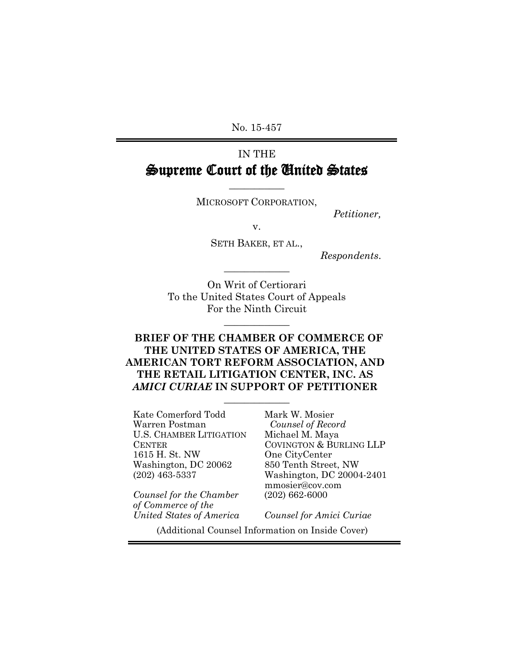No. 15-457

# IN THE Supreme Court of the United States

MICROSOFT CORPORATION,

 $\overline{\phantom{a}}$  , where  $\overline{\phantom{a}}$ 

*Petitioner,*

v.

SETH BAKER, ET AL.,

 $\overline{\phantom{a}}$  , where  $\overline{\phantom{a}}$ 

*Respondents*.

On Writ of Certiorari To the United States Court of Appeals For the Ninth Circuit

 $\overline{\phantom{a}}$  , where  $\overline{\phantom{a}}$ 

## **BRIEF OF THE CHAMBER OF COMMERCE OF THE UNITED STATES OF AMERICA, THE AMERICAN TORT REFORM ASSOCIATION, AND THE RETAIL LITIGATION CENTER, INC. AS**  *AMICI CURIAE* **IN SUPPORT OF PETITIONER**

 $\overline{\phantom{a}}$  , where  $\overline{\phantom{a}}$ 

Kate Comerford Todd Warren Postman U.S. CHAMBER LITIGATION **CENTER** 1615 H. St. NW Washington, DC 20062 (202) 463-5337

*Counsel for the Chamber of Commerce of the United States of America* Mark W. Mosier  *Counsel of Record* Michael M. Maya COVINGTON & BURLING LLP One CityCenter 850 Tenth Street, NW Washington, DC 20004-2401 mmosier@cov.com (202) 662-6000

*Counsel for Amici Curiae*

(Additional Counsel Information on Inside Cover)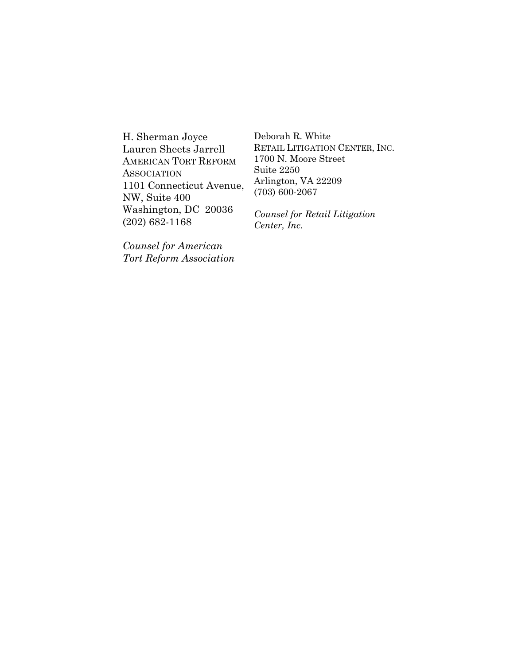H. Sherman Joyce Lauren Sheets Jarrell AMERICAN TORT REFORM **ASSOCIATION** 1101 Connecticut Avenue, NW, Suite 400 Washington, DC 20036 (202) 682-1168

*Counsel for American Tort Reform Association*

Deborah R. White RETAIL LITIGATION CENTER, INC. 1700 N. Moore Street Suite 2250 Arlington, VA 22209 (703) 600-2067

*Counsel for Retail Litigation Center, Inc.*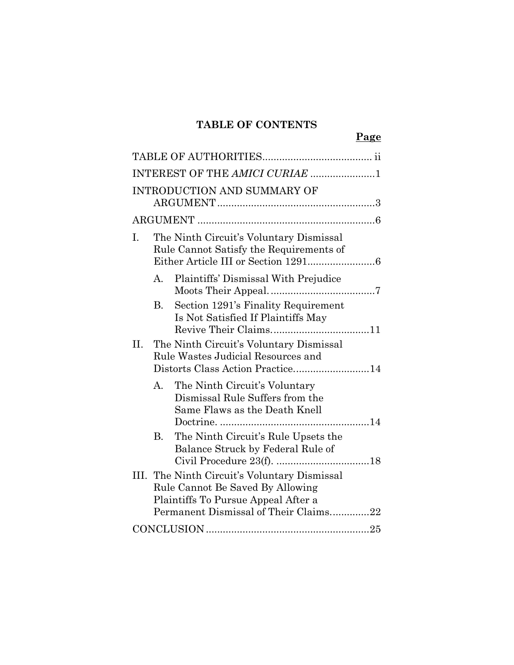## **TABLE OF CONTENTS**

|     |           |                                                                                                                                                                  | Page |
|-----|-----------|------------------------------------------------------------------------------------------------------------------------------------------------------------------|------|
|     |           |                                                                                                                                                                  |      |
|     |           | INTEREST OF THE AMICI CURIAE 1                                                                                                                                   |      |
|     |           | <b>INTRODUCTION AND SUMMARY OF</b>                                                                                                                               |      |
|     |           |                                                                                                                                                                  |      |
| I.  |           | The Ninth Circuit's Voluntary Dismissal<br>Rule Cannot Satisfy the Requirements of                                                                               |      |
|     | $A_{-}$   | Plaintiffs' Dismissal With Prejudice                                                                                                                             |      |
|     | <b>B.</b> | Section 1291's Finality Requirement<br>Is Not Satisfied If Plaintiffs May                                                                                        |      |
| II. |           | The Ninth Circuit's Voluntary Dismissal<br>Rule Wastes Judicial Resources and<br>Distorts Class Action Practice14                                                |      |
|     | A.        | The Ninth Circuit's Voluntary<br>Dismissal Rule Suffers from the<br>Same Flaws as the Death Knell                                                                |      |
|     | <b>B.</b> | The Ninth Circuit's Rule Upsets the<br>Balance Struck by Federal Rule of                                                                                         |      |
|     |           | III. The Ninth Circuit's Voluntary Dismissal<br>Rule Cannot Be Saved By Allowing<br>Plaintiffs To Pursue Appeal After a<br>Permanent Dismissal of Their Claims22 |      |
|     |           |                                                                                                                                                                  |      |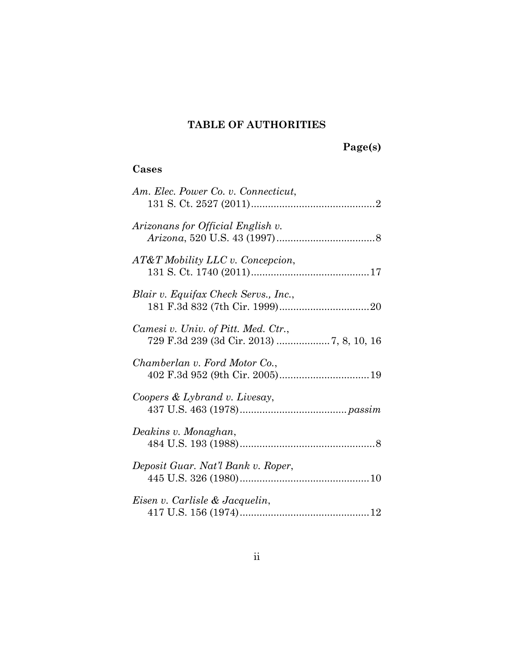## **TABLE OF AUTHORITIES**

# **Page(s)**

## <span id="page-3-0"></span>**Cases**

| Am. Elec. Power Co. v. Connecticut,  |
|--------------------------------------|
| Arizonans for Official English v.    |
| AT&T Mobility LLC v. Concepcion,     |
| Blair v. Equifax Check Servs., Inc., |
| Camesi v. Univ. of Pitt. Med. Ctr.,  |
| Chamberlan v. Ford Motor Co.,        |
| Coopers & Lybrand v. Livesay,        |
| Deakins v. Monaghan,                 |
| Deposit Guar. Nat'l Bank v. Roper,   |
| Eisen v. Carlisle & Jacquelin,       |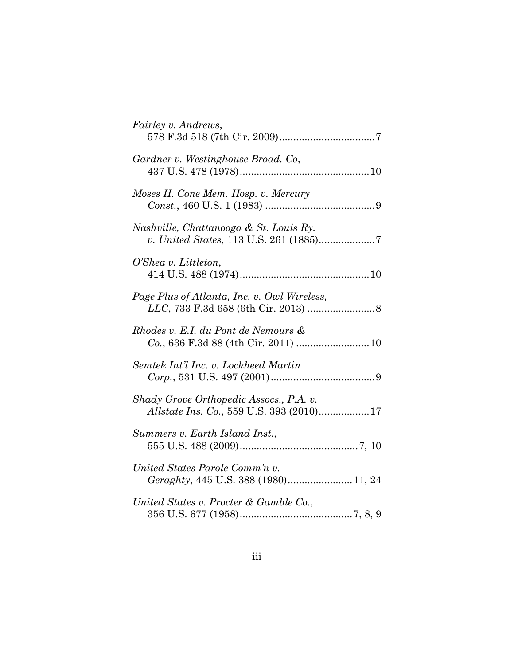| Fairley v. Andrews,                                                                 |
|-------------------------------------------------------------------------------------|
| Gardner v. Westinghouse Broad. Co,                                                  |
| Moses H. Cone Mem. Hosp. v. Mercury                                                 |
| Nashville, Chattanooga & St. Louis Ry.<br>v. United States, 113 U.S. 261 (1885)7    |
| O'Shea v. Littleton,                                                                |
| Page Plus of Atlanta, Inc. v. Owl Wireless,                                         |
| Rhodes v. E.I. du Pont de Nemours &<br>Co., 636 F.3d 88 (4th Cir. 2011) 10          |
| Semtek Int'l Inc. v. Lockheed Martin                                                |
| Shady Grove Orthopedic Assocs., P.A. v.<br>Allstate Ins. Co., 559 U.S. 393 (2010)17 |
| Summers v. Earth Island Inst.,                                                      |
| United States Parole Comm'n v.<br>Geraghty, 445 U.S. 388 (1980)11, 24               |
| United States v. Procter & Gamble Co.,                                              |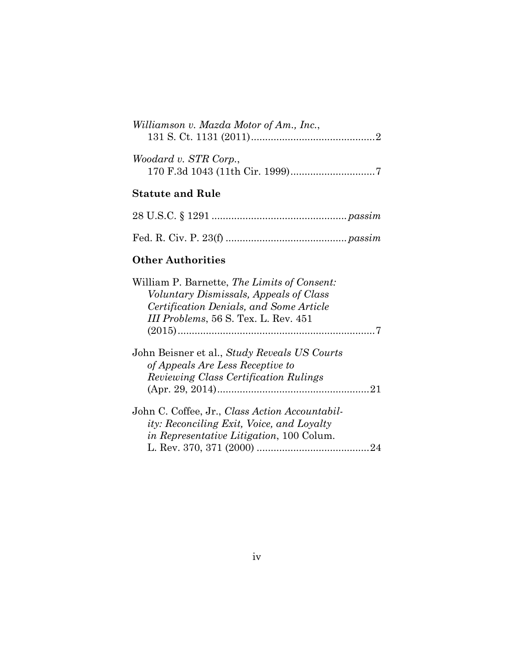| Williamson v. Mazda Motor of Am., Inc., |  |
|-----------------------------------------|--|
| Woodard v. STR Corp.,                   |  |

## **Statute and Rule**

## **Other Authorities**

| William P. Barnette, <i>The Limits of Consent:</i>                                                 |  |
|----------------------------------------------------------------------------------------------------|--|
| Voluntary Dismissals, Appeals of Class                                                             |  |
| Certification Denials, and Some Article                                                            |  |
| III Problems, 56 S. Tex. L. Rev. 451                                                               |  |
|                                                                                                    |  |
| John Beisner et al., Study Reveals US Courts<br>of Appeals Are Less Receptive to                   |  |
| <i>Reviewing Class Certification Rulings</i>                                                       |  |
|                                                                                                    |  |
| John C. Coffee, Jr., Class Action Accountabil-<br><i>ity: Reconciling Exit, Voice, and Loyalty</i> |  |
| <i>in Representative Litigation</i> , 100 Colum.                                                   |  |
|                                                                                                    |  |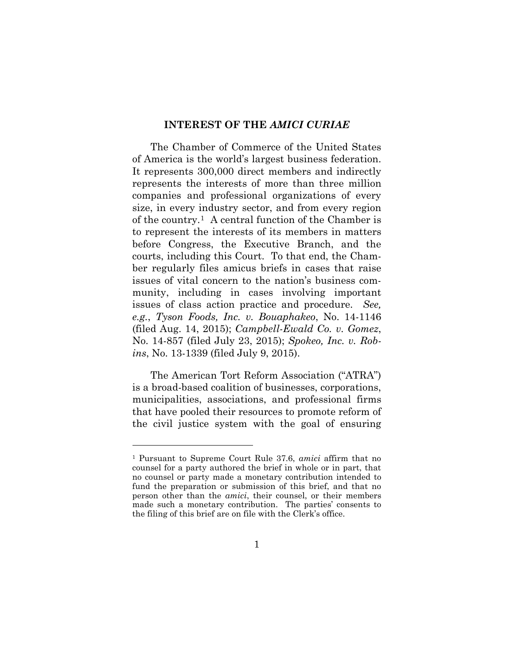#### **INTEREST OF THE** *AMICI CURIAE*

<span id="page-6-0"></span>The Chamber of Commerce of the United States of America is the world's largest business federation. It represents 300,000 direct members and indirectly represents the interests of more than three million companies and professional organizations of every size, in every industry sector, and from every region of the country.[1](#page-6-1) A central function of the Chamber is to represent the interests of its members in matters before Congress, the Executive Branch, and the courts, including this Court. To that end, the Chamber regularly files amicus briefs in cases that raise issues of vital concern to the nation's business community, including in cases involving important issues of class action practice and procedure. *See, e.g.*, *Tyson Foods, Inc. v. Bouaphakeo*, No. 14-1146 (filed Aug. 14, 2015); *Campbell-Ewald Co. v. Gomez*, No. 14-857 (filed July 23, 2015); *Spokeo, Inc. v. Robins*, No. 13-1339 (filed July 9, 2015).

The American Tort Reform Association ("ATRA") is a broad-based coalition of businesses, corporations, municipalities, associations, and professional firms that have pooled their resources to promote reform of the civil justice system with the goal of ensuring

<span id="page-6-1"></span><sup>1</sup> Pursuant to Supreme Court Rule 37.6, *amici* affirm that no counsel for a party authored the brief in whole or in part, that no counsel or party made a monetary contribution intended to fund the preparation or submission of this brief, and that no person other than the *amici*, their counsel, or their members made such a monetary contribution. The parties' consents to the filing of this brief are on file with the Clerk's office.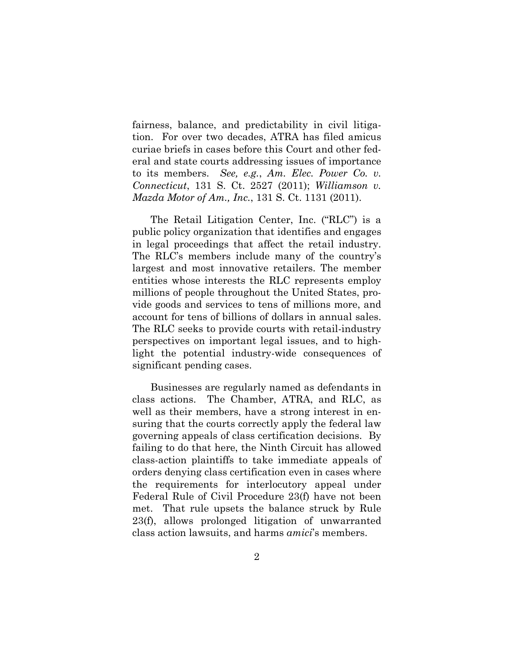fairness, balance, and predictability in civil litigation. For over two decades, ATRA has filed amicus curiae briefs in cases before this Court and other federal and state courts addressing issues of importance to its members. *See, e.g.*, *Am. Elec. Power Co. v. Connecticut*, 131 S. Ct. 2527 (2011); *Williamson v. Mazda Motor of Am., Inc.*, 131 S. Ct. 1131 (2011).

The Retail Litigation Center, Inc. ("RLC") is a public policy organization that identifies and engages in legal proceedings that affect the retail industry. The RLC's members include many of the country's largest and most innovative retailers. The member entities whose interests the RLC represents employ millions of people throughout the United States, provide goods and services to tens of millions more, and account for tens of billions of dollars in annual sales. The RLC seeks to provide courts with retail-industry perspectives on important legal issues, and to highlight the potential industry-wide consequences of significant pending cases.

Businesses are regularly named as defendants in class actions. The Chamber, ATRA, and RLC, as well as their members, have a strong interest in ensuring that the courts correctly apply the federal law governing appeals of class certification decisions. By failing to do that here, the Ninth Circuit has allowed class-action plaintiffs to take immediate appeals of orders denying class certification even in cases where the requirements for interlocutory appeal under Federal Rule of Civil Procedure 23(f) have not been met. That rule upsets the balance struck by Rule 23(f), allows prolonged litigation of unwarranted class action lawsuits, and harms *amici*'s members.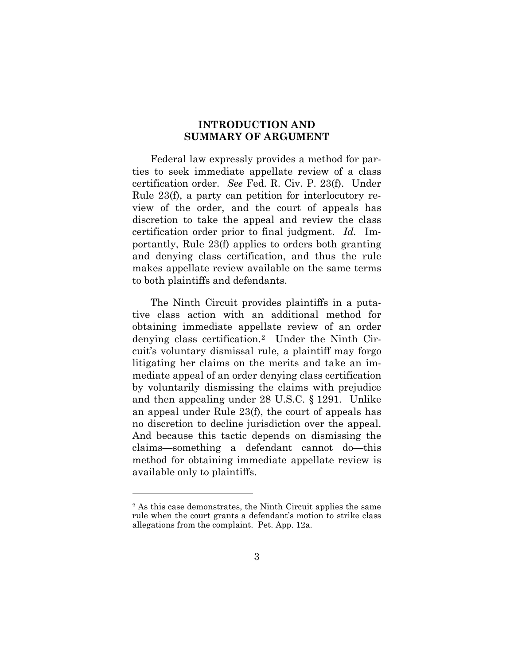### **INTRODUCTION AND SUMMARY OF ARGUMENT**

<span id="page-8-0"></span>Federal law expressly provides a method for parties to seek immediate appellate review of a class certification order. *See* Fed. R. Civ. P. 23(f). Under Rule 23(f), a party can petition for interlocutory review of the order, and the court of appeals has discretion to take the appeal and review the class certification order prior to final judgment. *Id.* Importantly, Rule 23(f) applies to orders both granting and denying class certification, and thus the rule makes appellate review available on the same terms to both plaintiffs and defendants.

The Ninth Circuit provides plaintiffs in a putative class action with an additional method for obtaining immediate appellate review of an order denying class certification[.2](#page-8-1) Under the Ninth Circuit's voluntary dismissal rule, a plaintiff may forgo litigating her claims on the merits and take an immediate appeal of an order denying class certification by voluntarily dismissing the claims with prejudice and then appealing under 28 U.S.C. § 1291. Unlike an appeal under Rule 23(f), the court of appeals has no discretion to decline jurisdiction over the appeal. And because this tactic depends on dismissing the claims—something a defendant cannot do—this method for obtaining immediate appellate review is available only to plaintiffs.

<span id="page-8-1"></span><sup>2</sup> As this case demonstrates, the Ninth Circuit applies the same rule when the court grants a defendant's motion to strike class allegations from the complaint. Pet. App. 12a.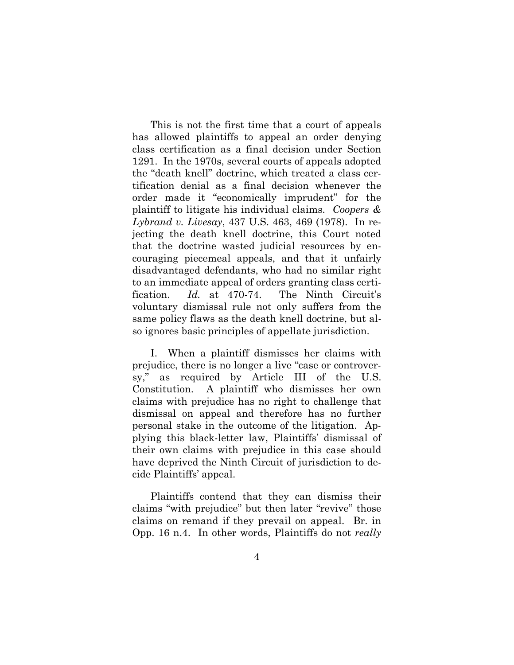This is not the first time that a court of appeals has allowed plaintiffs to appeal an order denying class certification as a final decision under Section 1291. In the 1970s, several courts of appeals adopted the "death knell" doctrine, which treated a class certification denial as a final decision whenever the order made it "economically imprudent" for the plaintiff to litigate his individual claims. *Coopers & Lybrand v. Livesay*, 437 U.S. 463, 469 (1978). In rejecting the death knell doctrine, this Court noted that the doctrine wasted judicial resources by encouraging piecemeal appeals, and that it unfairly disadvantaged defendants, who had no similar right to an immediate appeal of orders granting class certification. *Id.* at 470-74. The Ninth Circuit's voluntary dismissal rule not only suffers from the same policy flaws as the death knell doctrine, but also ignores basic principles of appellate jurisdiction.

I. When a plaintiff dismisses her claims with prejudice, there is no longer a live "case or controversy," as required by Article III of the U.S. Constitution. A plaintiff who dismisses her own claims with prejudice has no right to challenge that dismissal on appeal and therefore has no further personal stake in the outcome of the litigation. Applying this black-letter law, Plaintiffs' dismissal of their own claims with prejudice in this case should have deprived the Ninth Circuit of jurisdiction to decide Plaintiffs' appeal.

Plaintiffs contend that they can dismiss their claims "with prejudice" but then later "revive" those claims on remand if they prevail on appeal. Br. in Opp. 16 n.4. In other words, Plaintiffs do not *really*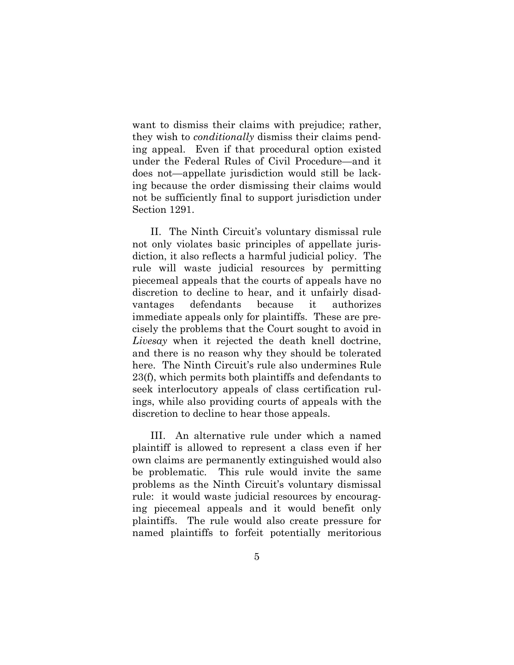want to dismiss their claims with prejudice; rather, they wish to *conditionally* dismiss their claims pending appeal. Even if that procedural option existed under the Federal Rules of Civil Procedure—and it does not—appellate jurisdiction would still be lacking because the order dismissing their claims would not be sufficiently final to support jurisdiction under Section 1291.

II. The Ninth Circuit's voluntary dismissal rule not only violates basic principles of appellate jurisdiction, it also reflects a harmful judicial policy. The rule will waste judicial resources by permitting piecemeal appeals that the courts of appeals have no discretion to decline to hear, and it unfairly disadvantages defendants because it authorizes immediate appeals only for plaintiffs. These are precisely the problems that the Court sought to avoid in *Livesay* when it rejected the death knell doctrine, and there is no reason why they should be tolerated here. The Ninth Circuit's rule also undermines Rule 23(f), which permits both plaintiffs and defendants to seek interlocutory appeals of class certification rulings, while also providing courts of appeals with the discretion to decline to hear those appeals.

III. An alternative rule under which a named plaintiff is allowed to represent a class even if her own claims are permanently extinguished would also be problematic. This rule would invite the same problems as the Ninth Circuit's voluntary dismissal rule: it would waste judicial resources by encouraging piecemeal appeals and it would benefit only plaintiffs. The rule would also create pressure for named plaintiffs to forfeit potentially meritorious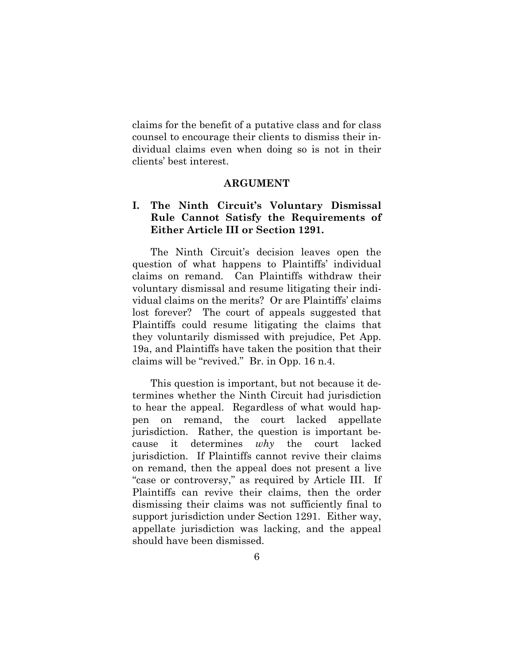claims for the benefit of a putative class and for class counsel to encourage their clients to dismiss their individual claims even when doing so is not in their clients' best interest.

#### **ARGUMENT**

## <span id="page-11-1"></span><span id="page-11-0"></span>**I. The Ninth Circuit's Voluntary Dismissal Rule Cannot Satisfy the Requirements of Either Article III or Section 1291.**

The Ninth Circuit's decision leaves open the question of what happens to Plaintiffs' individual claims on remand. Can Plaintiffs withdraw their voluntary dismissal and resume litigating their individual claims on the merits? Or are Plaintiffs' claims lost forever? The court of appeals suggested that Plaintiffs could resume litigating the claims that they voluntarily dismissed with prejudice, Pet App. 19a, and Plaintiffs have taken the position that their claims will be "revived." Br. in Opp. 16 n.4.

This question is important, but not because it determines whether the Ninth Circuit had jurisdiction to hear the appeal. Regardless of what would happen on remand, the court lacked appellate jurisdiction. Rather, the question is important because it determines *why* the court lacked jurisdiction. If Plaintiffs cannot revive their claims on remand, then the appeal does not present a live "case or controversy," as required by Article III. If Plaintiffs can revive their claims, then the order dismissing their claims was not sufficiently final to support jurisdiction under Section 1291. Either way, appellate jurisdiction was lacking, and the appeal should have been dismissed.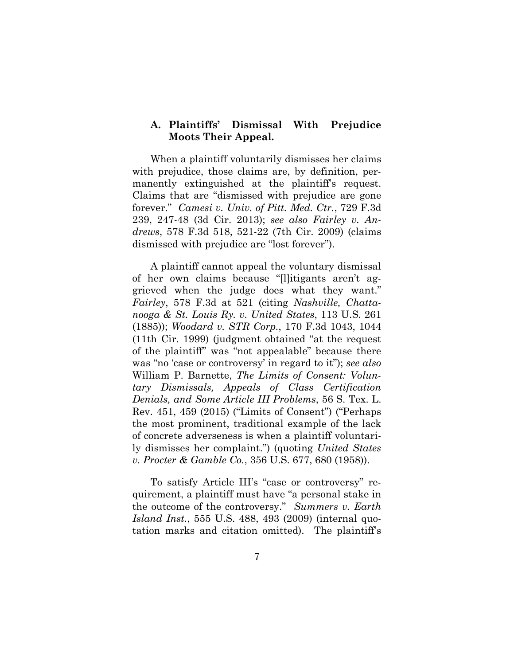### <span id="page-12-0"></span>**A. Plaintiffs' Dismissal With Prejudice Moots Their Appeal.**

When a plaintiff voluntarily dismisses her claims with prejudice, those claims are, by definition, permanently extinguished at the plaintiff's request. Claims that are "dismissed with prejudice are gone forever." *Camesi v. Univ. of Pitt. Med. Ctr.*, 729 F.3d 239, 247-48 (3d Cir. 2013); *see also Fairley v. Andrews*, 578 F.3d 518, 521-22 (7th Cir. 2009) (claims dismissed with prejudice are "lost forever").

A plaintiff cannot appeal the voluntary dismissal of her own claims because "[l]itigants aren't aggrieved when the judge does what they want." *Fairley*, 578 F.3d at 521 (citing *Nashville, Chattanooga & St. Louis Ry. v. United States*, 113 U.S. 261 (1885)); *Woodard v. STR Corp.*, 170 F.3d 1043, 1044 (11th Cir. 1999) (judgment obtained "at the request of the plaintiff" was "not appealable" because there was "no 'case or controversy' in regard to it"); *see also* William P. Barnette, *The Limits of Consent: Voluntary Dismissals, Appeals of Class Certification Denials, and Some Article III Problems*, 56 S. Tex. L. Rev. 451, 459 (2015) ("Limits of Consent") ("Perhaps the most prominent, traditional example of the lack of concrete adverseness is when a plaintiff voluntarily dismisses her complaint.") (quoting *United States v. Procter & Gamble Co.*, 356 U.S. 677, 680 (1958)).

To satisfy Article III's "case or controversy" requirement, a plaintiff must have "a personal stake in the outcome of the controversy." *Summers v. Earth Island Inst.*, 555 U.S. 488, 493 (2009) (internal quotation marks and citation omitted). The plaintiff's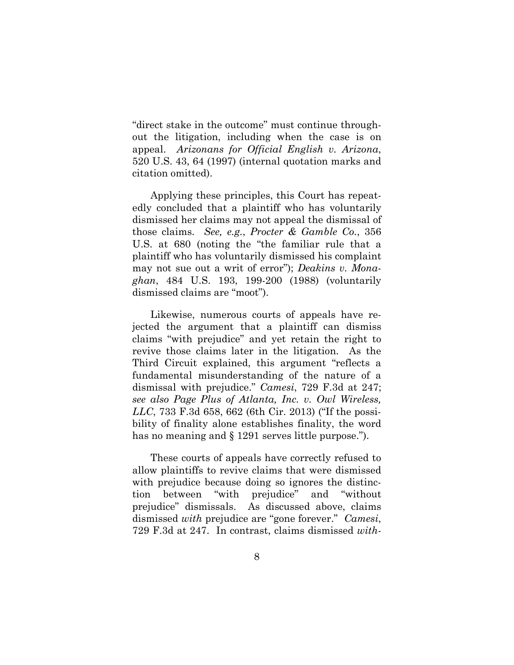"direct stake in the outcome" must continue throughout the litigation, including when the case is on appeal. *Arizonans for Official English v. Arizona*, 520 U.S. 43, 64 (1997) (internal quotation marks and citation omitted).

Applying these principles, this Court has repeatedly concluded that a plaintiff who has voluntarily dismissed her claims may not appeal the dismissal of those claims. *See, e.g.*, *Procter & Gamble Co.*, 356 U.S. at 680 (noting the "the familiar rule that a plaintiff who has voluntarily dismissed his complaint may not sue out a writ of error"); *Deakins v. Monaghan*, 484 U.S. 193, 199-200 (1988) (voluntarily dismissed claims are "moot").

Likewise, numerous courts of appeals have rejected the argument that a plaintiff can dismiss claims "with prejudice" and yet retain the right to revive those claims later in the litigation. As the Third Circuit explained, this argument "reflects a fundamental misunderstanding of the nature of a dismissal with prejudice." *Camesi*, 729 F.3d at 247; *see also Page Plus of Atlanta, Inc. v. Owl Wireless, LLC*, 733 F.3d 658, 662 (6th Cir. 2013) ("If the possibility of finality alone establishes finality, the word has no meaning and § 1291 serves little purpose.").

These courts of appeals have correctly refused to allow plaintiffs to revive claims that were dismissed with prejudice because doing so ignores the distinction between "with prejudice" and "without prejudice" dismissals. As discussed above, claims dismissed *with* prejudice are "gone forever." *Camesi*, 729 F.3d at 247. In contrast, claims dismissed *with-*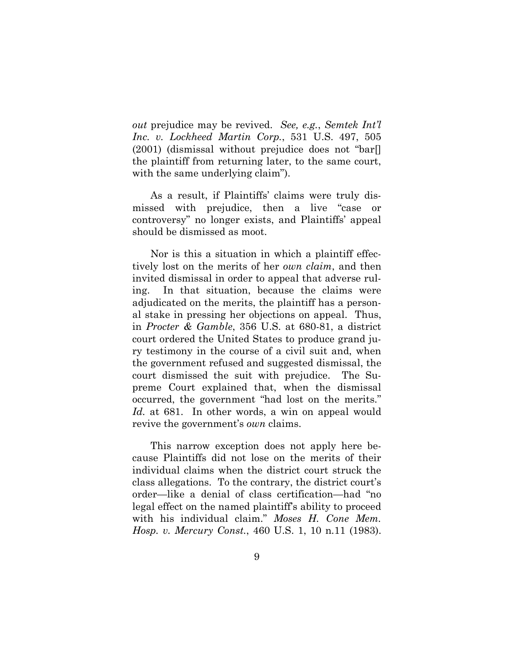*out* prejudice may be revived. *See, e.g.*, *Semtek Int'l Inc. v. Lockheed Martin Corp.*, 531 U.S. 497, 505  $(2001)$  (dismissal without prejudice does not "bar. the plaintiff from returning later, to the same court, with the same underlying claim".

As a result, if Plaintiffs' claims were truly dismissed with prejudice, then a live "case or controversy" no longer exists, and Plaintiffs' appeal should be dismissed as moot.

Nor is this a situation in which a plaintiff effectively lost on the merits of her *own claim*, and then invited dismissal in order to appeal that adverse ruling. In that situation, because the claims were adjudicated on the merits, the plaintiff has a personal stake in pressing her objections on appeal. Thus, in *Procter & Gamble*, 356 U.S. at 680-81, a district court ordered the United States to produce grand jury testimony in the course of a civil suit and, when the government refused and suggested dismissal, the court dismissed the suit with prejudice. The Supreme Court explained that, when the dismissal occurred, the government "had lost on the merits." Id. at 681. In other words, a win on appeal would revive the government's *own* claims.

This narrow exception does not apply here because Plaintiffs did not lose on the merits of their individual claims when the district court struck the class allegations. To the contrary, the district court's order—like a denial of class certification—had "no legal effect on the named plaintiff's ability to proceed with his individual claim." *Moses H. Cone Mem. Hosp. v. Mercury Const.*, 460 U.S. 1, 10 n.11 (1983).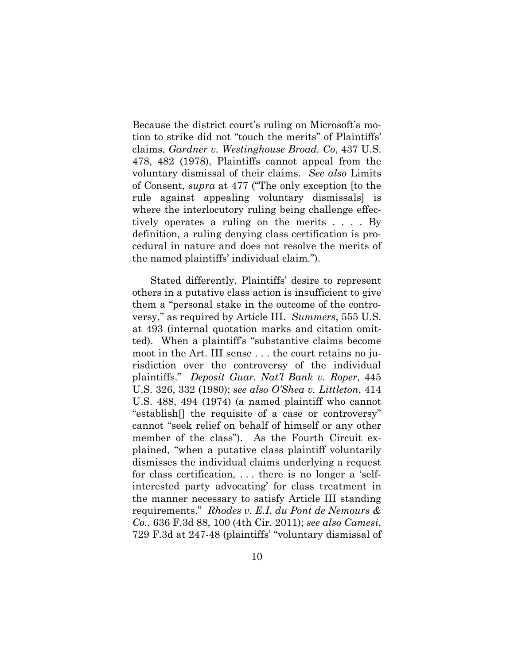Because the district court's ruling on Microsoft's motion to strike did not "touch the merits" of Plaintiffs' claims, *Gardner v. Westinghouse Broad. Co*, 437 U.S. 478, 482 (1978), Plaintiffs cannot appeal from the voluntary dismissal of their claims. *See also* Limits of Consent, *supra* at 477 ("The only exception [to the rule against appealing voluntary dismissals] is where the interlocutory ruling being challenge effectively operates a ruling on the merits . . . . By definition, a ruling denying class certification is procedural in nature and does not resolve the merits of the named plaintiffs' individual claim.").

Stated differently, Plaintiffs' desire to represent others in a putative class action is insufficient to give them a "personal stake in the outcome of the controversy," as required by Article III. *Summers*, 555 U.S. at 493 (internal quotation marks and citation omitted). When a plaintiff's "substantive claims become moot in the Art. III sense . . . the court retains no jurisdiction over the controversy of the individual plaintiffs." *Deposit Guar. Nat'l Bank v. Roper*, 445 U.S. 326, 332 (1980); *see also O'Shea v. Littleton*, 414 U.S. 488, 494 (1974) (a named plaintiff who cannot "establish[] the requisite of a case or controversy" cannot "seek relief on behalf of himself or any other member of the class"). As the Fourth Circuit explained, "when a putative class plaintiff voluntarily dismisses the individual claims underlying a request for class certification, . . . there is no longer a 'selfinterested party advocating' for class treatment in the manner necessary to satisfy Article III standing requirements." *Rhodes v. E.I. du Pont de Nemours & Co.*, 636 F.3d 88, 100 (4th Cir. 2011); *see also Camesi*, 729 F.3d at 247-48 (plaintiffs' "voluntary dismissal of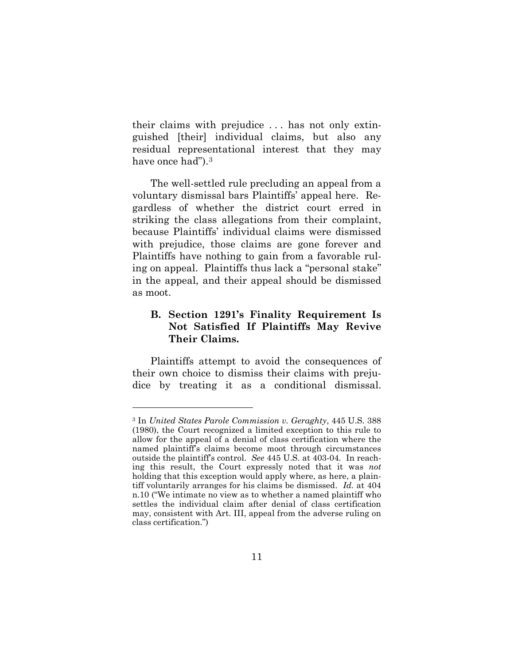their claims with prejudice . . . has not only extinguished [their] individual claims, but also any residual representational interest that they may have once had").<sup>[3](#page-16-1)</sup>

The well-settled rule precluding an appeal from a voluntary dismissal bars Plaintiffs' appeal here. Regardless of whether the district court erred in striking the class allegations from their complaint, because Plaintiffs' individual claims were dismissed with prejudice, those claims are gone forever and Plaintiffs have nothing to gain from a favorable ruling on appeal. Plaintiffs thus lack a "personal stake" in the appeal, and their appeal should be dismissed as moot.

## <span id="page-16-0"></span>**B. Section 1291's Finality Requirement Is Not Satisfied If Plaintiffs May Revive Their Claims.**

Plaintiffs attempt to avoid the consequences of their own choice to dismiss their claims with prejudice by treating it as a conditional dismissal.

<span id="page-16-1"></span><sup>3</sup> In *United States Parole Commission v. Geraghty*, 445 U.S. 388 (1980), the Court recognized a limited exception to this rule to allow for the appeal of a denial of class certification where the named plaintiff's claims become moot through circumstances outside the plaintiff's control. *See* 445 U.S. at 403-04. In reaching this result, the Court expressly noted that it was *not*  holding that this exception would apply where, as here, a plaintiff voluntarily arranges for his claims be dismissed. *Id.* at 404 n.10 ("We intimate no view as to whether a named plaintiff who settles the individual claim after denial of class certification may, consistent with Art. III, appeal from the adverse ruling on class certification.")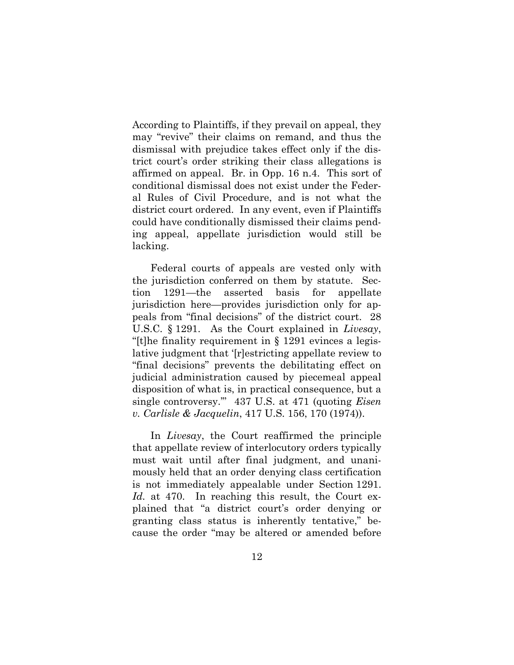According to Plaintiffs, if they prevail on appeal, they may "revive" their claims on remand, and thus the dismissal with prejudice takes effect only if the district court's order striking their class allegations is affirmed on appeal. Br. in Opp. 16 n.4. This sort of conditional dismissal does not exist under the Federal Rules of Civil Procedure, and is not what the district court ordered. In any event, even if Plaintiffs could have conditionally dismissed their claims pending appeal, appellate jurisdiction would still be lacking.

Federal courts of appeals are vested only with the jurisdiction conferred on them by statute. Section 1291—the asserted basis for appellate jurisdiction here—provides jurisdiction only for appeals from "final decisions" of the district court. 28 U.S.C. § 1291. As the Court explained in *Livesay*, "[t]he finality requirement in § 1291 evinces a legislative judgment that '[r]estricting appellate review to "final decisions" prevents the debilitating effect on judicial administration caused by piecemeal appeal disposition of what is, in practical consequence, but a single controversy.'" 437 U.S. at 471 (quoting *Eisen v. Carlisle & Jacquelin*, 417 U.S. 156, 170 (1974)).

In *Livesay*, the Court reaffirmed the principle that appellate review of interlocutory orders typically must wait until after final judgment, and unanimously held that an order denying class certification is not immediately appealable under Section 1291. *Id.* at 470. In reaching this result, the Court explained that "a district court's order denying or granting class status is inherently tentative," because the order "may be altered or amended before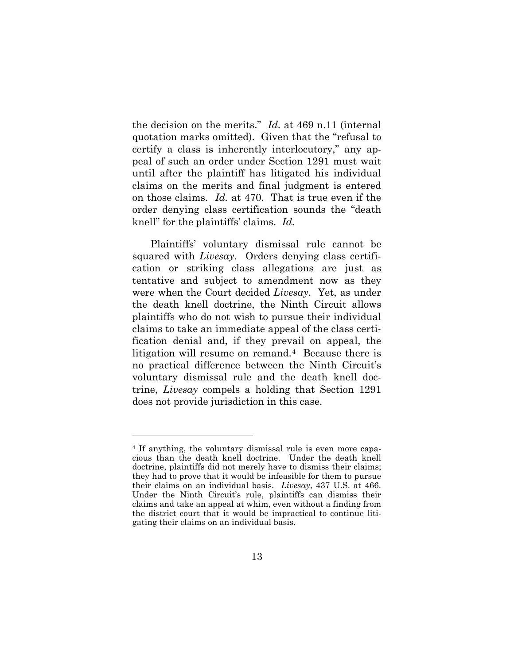the decision on the merits." *Id.* at 469 n.11 (internal quotation marks omitted). Given that the "refusal to certify a class is inherently interlocutory," any appeal of such an order under Section 1291 must wait until after the plaintiff has litigated his individual claims on the merits and final judgment is entered on those claims. *Id.* at 470. That is true even if the order denying class certification sounds the "death knell" for the plaintiffs' claims. *Id.*

Plaintiffs' voluntary dismissal rule cannot be squared with *Livesay*. Orders denying class certification or striking class allegations are just as tentative and subject to amendment now as they were when the Court decided *Livesay*. Yet, as under the death knell doctrine, the Ninth Circuit allows plaintiffs who do not wish to pursue their individual claims to take an immediate appeal of the class certification denial and, if they prevail on appeal, the litigation will resume on remand.[4](#page-18-0) Because there is no practical difference between the Ninth Circuit's voluntary dismissal rule and the death knell doctrine, *Livesay* compels a holding that Section 1291 does not provide jurisdiction in this case.

<span id="page-18-0"></span><sup>4</sup> If anything, the voluntary dismissal rule is even more capacious than the death knell doctrine. Under the death knell doctrine, plaintiffs did not merely have to dismiss their claims; they had to prove that it would be infeasible for them to pursue their claims on an individual basis. *Livesay*, 437 U.S. at 466. Under the Ninth Circuit's rule, plaintiffs can dismiss their claims and take an appeal at whim, even without a finding from the district court that it would be impractical to continue litigating their claims on an individual basis.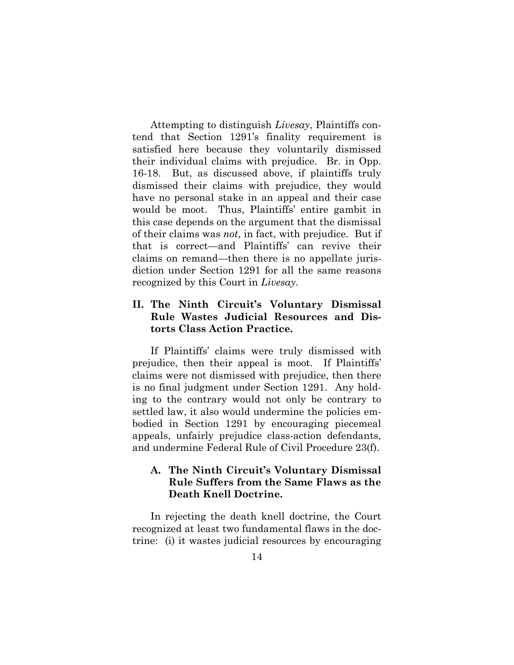Attempting to distinguish *Livesay*, Plaintiffs contend that Section 1291's finality requirement is satisfied here because they voluntarily dismissed their individual claims with prejudice. Br. in Opp. 16-18. But, as discussed above, if plaintiffs truly dismissed their claims with prejudice, they would have no personal stake in an appeal and their case would be moot. Thus, Plaintiffs' entire gambit in this case depends on the argument that the dismissal of their claims was *not*, in fact, with prejudice. But if that is correct—and Plaintiffs' can revive their claims on remand—then there is no appellate jurisdiction under Section 1291 for all the same reasons recognized by this Court in *Livesay.* 

## <span id="page-19-0"></span>**II. The Ninth Circuit's Voluntary Dismissal Rule Wastes Judicial Resources and Distorts Class Action Practice.**

If Plaintiffs' claims were truly dismissed with prejudice, then their appeal is moot. If Plaintiffs' claims were not dismissed with prejudice, then there is no final judgment under Section 1291. Any holding to the contrary would not only be contrary to settled law, it also would undermine the policies embodied in Section 1291 by encouraging piecemeal appeals, unfairly prejudice class-action defendants, and undermine Federal Rule of Civil Procedure 23(f).

## <span id="page-19-1"></span>**A. The Ninth Circuit's Voluntary Dismissal Rule Suffers from the Same Flaws as the Death Knell Doctrine.**

In rejecting the death knell doctrine, the Court recognized at least two fundamental flaws in the doctrine: (i) it wastes judicial resources by encouraging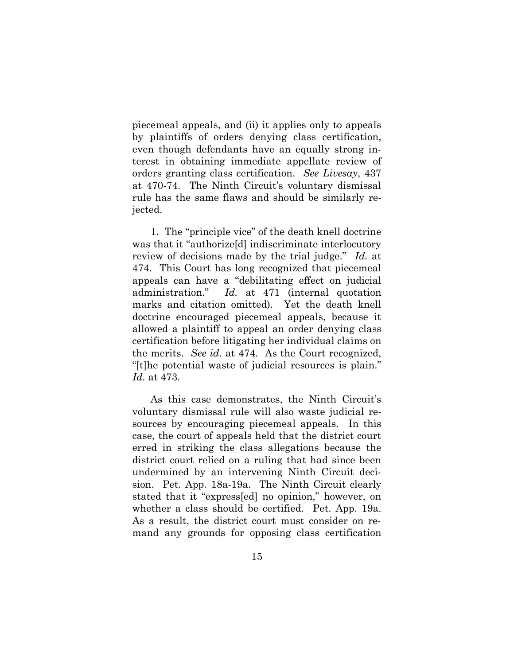piecemeal appeals, and (ii) it applies only to appeals by plaintiffs of orders denying class certification, even though defendants have an equally strong interest in obtaining immediate appellate review of orders granting class certification. *See Livesay*, 437 at 470-74. The Ninth Circuit's voluntary dismissal rule has the same flaws and should be similarly rejected.

1. The "principle vice" of the death knell doctrine was that it "authorize[d] indiscriminate interlocutory review of decisions made by the trial judge." *Id.* at 474. This Court has long recognized that piecemeal appeals can have a "debilitating effect on judicial administration." *Id.* at 471 (internal quotation marks and citation omitted). Yet the death knell doctrine encouraged piecemeal appeals, because it allowed a plaintiff to appeal an order denying class certification before litigating her individual claims on the merits. *See id.* at 474. As the Court recognized, "[t]he potential waste of judicial resources is plain." *Id.* at 473.

As this case demonstrates, the Ninth Circuit's voluntary dismissal rule will also waste judicial resources by encouraging piecemeal appeals. In this case, the court of appeals held that the district court erred in striking the class allegations because the district court relied on a ruling that had since been undermined by an intervening Ninth Circuit decision. Pet. App. 18a-19a. The Ninth Circuit clearly stated that it "express[ed] no opinion," however, on whether a class should be certified. Pet. App. 19a. As a result, the district court must consider on remand any grounds for opposing class certification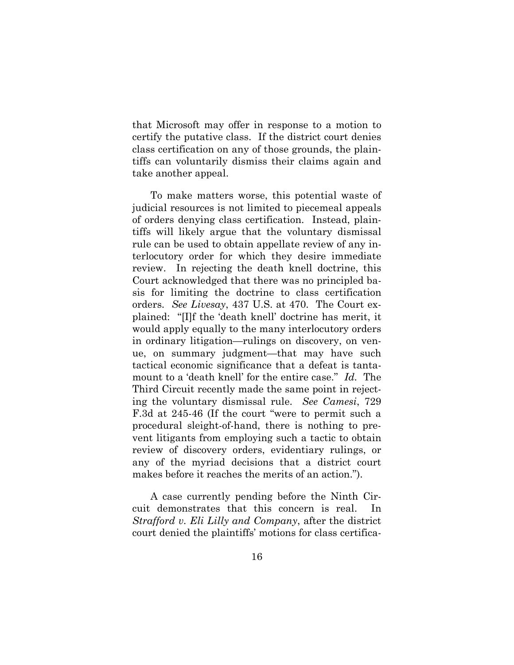that Microsoft may offer in response to a motion to certify the putative class. If the district court denies class certification on any of those grounds, the plaintiffs can voluntarily dismiss their claims again and take another appeal.

To make matters worse, this potential waste of judicial resources is not limited to piecemeal appeals of orders denying class certification. Instead, plaintiffs will likely argue that the voluntary dismissal rule can be used to obtain appellate review of any interlocutory order for which they desire immediate review. In rejecting the death knell doctrine, this Court acknowledged that there was no principled basis for limiting the doctrine to class certification orders. *See Livesay*, 437 U.S. at 470. The Court explained: "[I]f the 'death knell' doctrine has merit, it would apply equally to the many interlocutory orders in ordinary litigation—rulings on discovery, on venue, on summary judgment—that may have such tactical economic significance that a defeat is tantamount to a 'death knell' for the entire case." *Id.* The Third Circuit recently made the same point in rejecting the voluntary dismissal rule. *See Camesi*, 729 F.3d at 245-46 (If the court "were to permit such a procedural sleight-of-hand, there is nothing to prevent litigants from employing such a tactic to obtain review of discovery orders, evidentiary rulings, or any of the myriad decisions that a district court makes before it reaches the merits of an action.").

A case currently pending before the Ninth Circuit demonstrates that this concern is real. In *Strafford v. Eli Lilly and Company*, after the district court denied the plaintiffs' motions for class certifica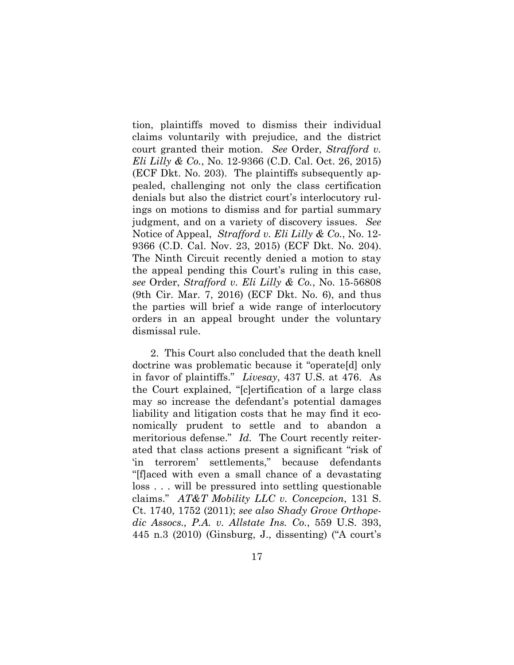tion, plaintiffs moved to dismiss their individual claims voluntarily with prejudice, and the district court granted their motion. *See* Order, *Strafford v. Eli Lilly & Co.*, No. 12-9366 (C.D. Cal. Oct. 26, 2015) (ECF Dkt. No. 203). The plaintiffs subsequently appealed, challenging not only the class certification denials but also the district court's interlocutory rulings on motions to dismiss and for partial summary judgment, and on a variety of discovery issues. *See* Notice of Appeal, *Strafford v. Eli Lilly & Co.*, No. 12- 9366 (C.D. Cal. Nov. 23, 2015) (ECF Dkt. No. 204). The Ninth Circuit recently denied a motion to stay the appeal pending this Court's ruling in this case, *see* Order, *Strafford v. Eli Lilly & Co.*, No. 15-56808 (9th Cir. Mar. 7, 2016) (ECF Dkt. No. 6), and thus the parties will brief a wide range of interlocutory orders in an appeal brought under the voluntary dismissal rule.

2. This Court also concluded that the death knell doctrine was problematic because it "operate[d] only in favor of plaintiffs." *Livesay*, 437 U.S. at 476. As the Court explained, "[c]ertification of a large class may so increase the defendant's potential damages liability and litigation costs that he may find it economically prudent to settle and to abandon a meritorious defense." *Id.* The Court recently reiterated that class actions present a significant "risk of 'in terrorem' settlements," because defendants "[f]aced with even a small chance of a devastating loss . . . will be pressured into settling questionable claims." *AT&T Mobility LLC v. Concepcion*, 131 S. Ct. 1740, 1752 (2011); *see also Shady Grove Orthopedic Assocs., P.A. v. Allstate Ins. Co.*, 559 U.S. 393, 445 n.3 (2010) (Ginsburg, J., dissenting) ("A court's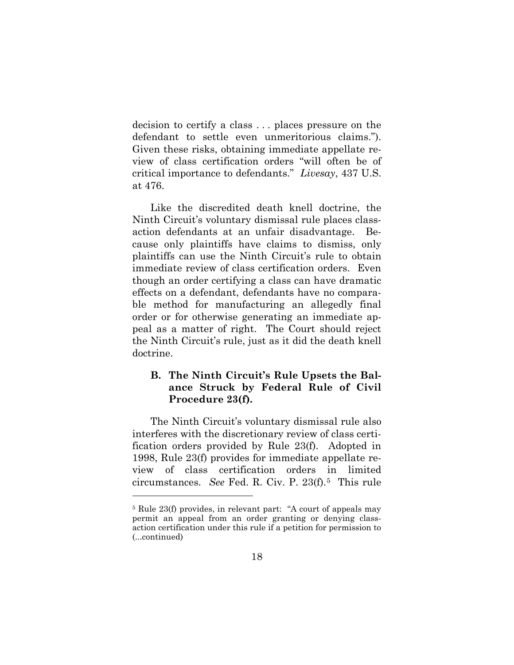decision to certify a class . . . places pressure on the defendant to settle even unmeritorious claims."). Given these risks, obtaining immediate appellate review of class certification orders "will often be of critical importance to defendants." *Livesay*, 437 U.S. at 476.

Like the discredited death knell doctrine, the Ninth Circuit's voluntary dismissal rule places classaction defendants at an unfair disadvantage. Because only plaintiffs have claims to dismiss, only plaintiffs can use the Ninth Circuit's rule to obtain immediate review of class certification orders. Even though an order certifying a class can have dramatic effects on a defendant, defendants have no comparable method for manufacturing an allegedly final order or for otherwise generating an immediate appeal as a matter of right. The Court should reject the Ninth Circuit's rule, just as it did the death knell doctrine.

## <span id="page-23-0"></span>**B. The Ninth Circuit's Rule Upsets the Balance Struck by Federal Rule of Civil Procedure 23(f).**

The Ninth Circuit's voluntary dismissal rule also interferes with the discretionary review of class certification orders provided by Rule 23(f). Adopted in 1998, Rule 23(f) provides for immediate appellate review of class certification orders in limited circumstances. *See* Fed. R. Civ. P. 23(f).[5](#page-23-1) This rule

<span id="page-23-1"></span><sup>5</sup> Rule 23(f) provides, in relevant part: "A court of appeals may permit an appeal from an order granting or denying classaction certification under this rule if a petition for permission to (...continued)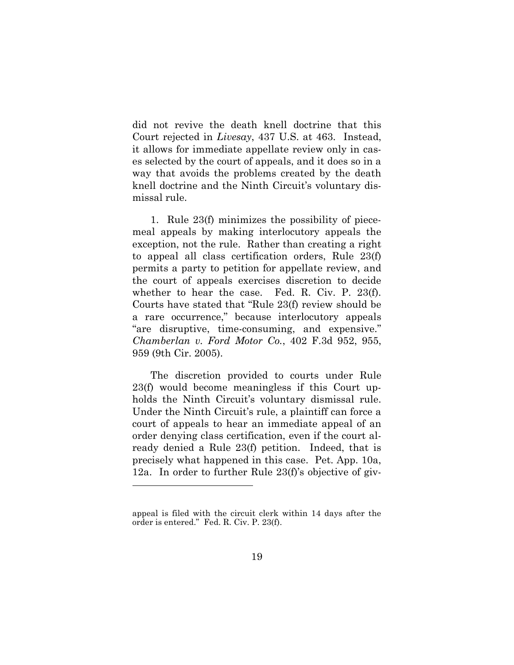did not revive the death knell doctrine that this Court rejected in *Livesay*, 437 U.S. at 463. Instead, it allows for immediate appellate review only in cases selected by the court of appeals, and it does so in a way that avoids the problems created by the death knell doctrine and the Ninth Circuit's voluntary dismissal rule.

1. Rule 23(f) minimizes the possibility of piecemeal appeals by making interlocutory appeals the exception, not the rule. Rather than creating a right to appeal all class certification orders, Rule 23(f) permits a party to petition for appellate review, and the court of appeals exercises discretion to decide whether to hear the case. Fed. R. Civ. P. 23(f). Courts have stated that "Rule 23(f) review should be a rare occurrence," because interlocutory appeals "are disruptive, time-consuming, and expensive." *Chamberlan v. Ford Motor Co.*, 402 F.3d 952, 955, 959 (9th Cir. 2005).

The discretion provided to courts under Rule 23(f) would become meaningless if this Court upholds the Ninth Circuit's voluntary dismissal rule. Under the Ninth Circuit's rule, a plaintiff can force a court of appeals to hear an immediate appeal of an order denying class certification, even if the court already denied a Rule 23(f) petition. Indeed, that is precisely what happened in this case. Pet. App. 10a, 12a. In order to further Rule 23(f)'s objective of giv-

appeal is filed with the circuit clerk within 14 days after the order is entered." Fed. R. Civ. P. 23(f).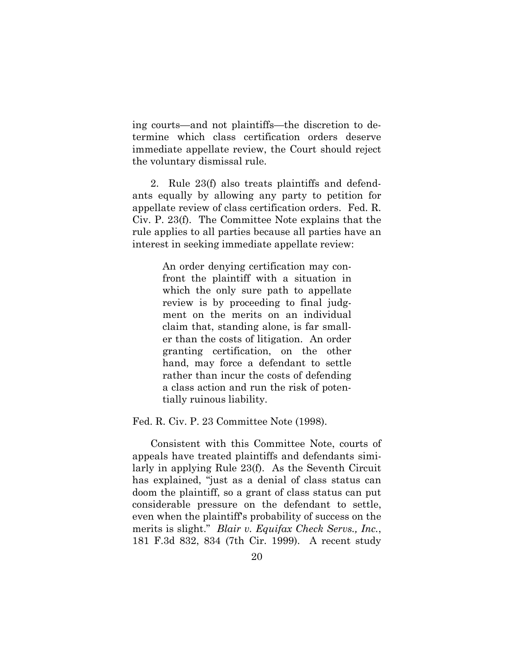ing courts—and not plaintiffs—the discretion to determine which class certification orders deserve immediate appellate review, the Court should reject the voluntary dismissal rule.

2. Rule 23(f) also treats plaintiffs and defendants equally by allowing any party to petition for appellate review of class certification orders. Fed. R. Civ. P. 23(f). The Committee Note explains that the rule applies to all parties because all parties have an interest in seeking immediate appellate review:

> An order denying certification may confront the plaintiff with a situation in which the only sure path to appellate review is by proceeding to final judgment on the merits on an individual claim that, standing alone, is far smaller than the costs of litigation. An order granting certification, on the other hand, may force a defendant to settle rather than incur the costs of defending a class action and run the risk of potentially ruinous liability.

Fed. R. Civ. P. 23 Committee Note (1998).

Consistent with this Committee Note, courts of appeals have treated plaintiffs and defendants similarly in applying Rule 23(f). As the Seventh Circuit has explained, "just as a denial of class status can doom the plaintiff, so a grant of class status can put considerable pressure on the defendant to settle, even when the plaintiff's probability of success on the merits is slight." *Blair v. Equifax Check Servs., Inc.*, 181 F.3d 832, 834 (7th Cir. 1999). A recent study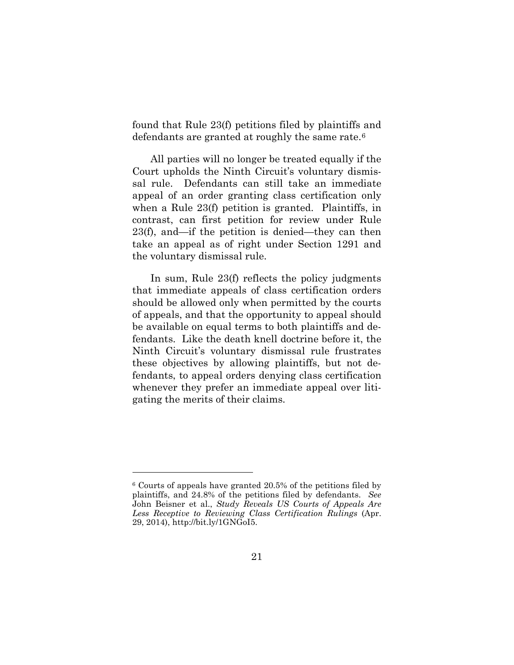found that Rule 23(f) petitions filed by plaintiffs and defendants are granted at roughly the same rate.[6](#page-26-0) 

All parties will no longer be treated equally if the Court upholds the Ninth Circuit's voluntary dismissal rule. Defendants can still take an immediate appeal of an order granting class certification only when a Rule 23(f) petition is granted. Plaintiffs, in contrast, can first petition for review under Rule 23(f), and—if the petition is denied—they can then take an appeal as of right under Section 1291 and the voluntary dismissal rule.

In sum, Rule 23(f) reflects the policy judgments that immediate appeals of class certification orders should be allowed only when permitted by the courts of appeals, and that the opportunity to appeal should be available on equal terms to both plaintiffs and defendants. Like the death knell doctrine before it, the Ninth Circuit's voluntary dismissal rule frustrates these objectives by allowing plaintiffs, but not defendants, to appeal orders denying class certification whenever they prefer an immediate appeal over litigating the merits of their claims.

<span id="page-26-0"></span><sup>6</sup> Courts of appeals have granted 20.5% of the petitions filed by plaintiffs, and 24.8% of the petitions filed by defendants. *See*  John Beisner et al., *Study Reveals US Courts of Appeals Are Less Receptive to Reviewing Class Certification Rulings* (Apr. 29, 2014), http://bit.ly/1GNGoI5.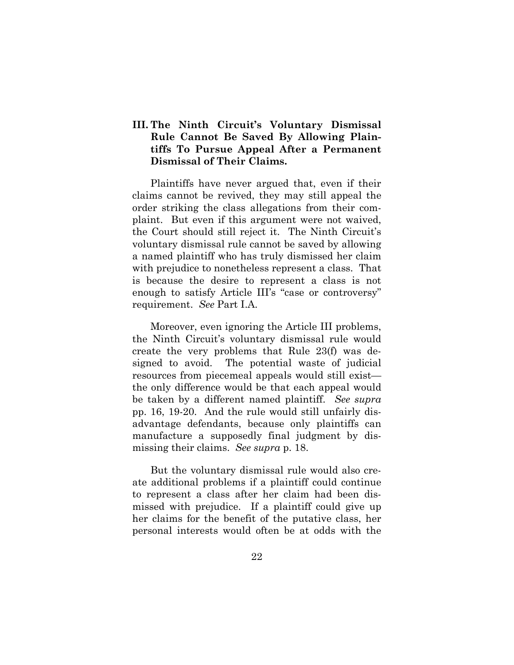## <span id="page-27-0"></span>**III. The Ninth Circuit's Voluntary Dismissal Rule Cannot Be Saved By Allowing Plaintiffs To Pursue Appeal After a Permanent Dismissal of Their Claims.**

Plaintiffs have never argued that, even if their claims cannot be revived, they may still appeal the order striking the class allegations from their complaint. But even if this argument were not waived, the Court should still reject it. The Ninth Circuit's voluntary dismissal rule cannot be saved by allowing a named plaintiff who has truly dismissed her claim with prejudice to nonetheless represent a class. That is because the desire to represent a class is not enough to satisfy Article III's "case or controversy" requirement. *See* Part I.A.

Moreover, even ignoring the Article III problems, the Ninth Circuit's voluntary dismissal rule would create the very problems that Rule 23(f) was designed to avoid. The potential waste of judicial resources from piecemeal appeals would still exist the only difference would be that each appeal would be taken by a different named plaintiff. *See supra* pp. 16, 19-20. And the rule would still unfairly disadvantage defendants, because only plaintiffs can manufacture a supposedly final judgment by dismissing their claims. *See supra* p. 18.

But the voluntary dismissal rule would also create additional problems if a plaintiff could continue to represent a class after her claim had been dismissed with prejudice. If a plaintiff could give up her claims for the benefit of the putative class, her personal interests would often be at odds with the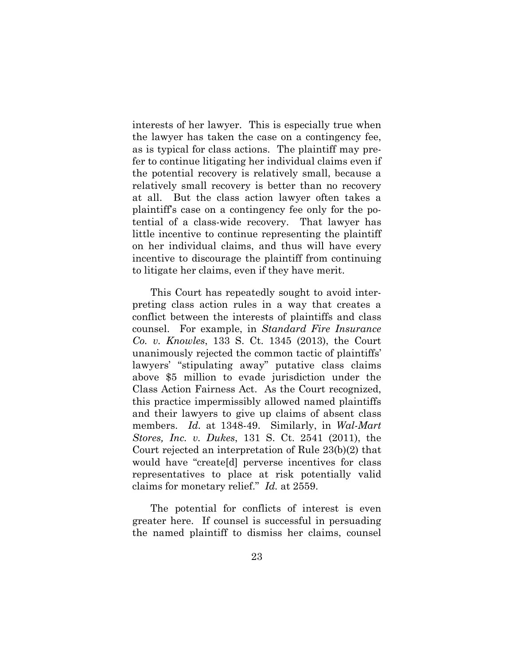interests of her lawyer. This is especially true when the lawyer has taken the case on a contingency fee, as is typical for class actions. The plaintiff may prefer to continue litigating her individual claims even if the potential recovery is relatively small, because a relatively small recovery is better than no recovery at all. But the class action lawyer often takes a plaintiff's case on a contingency fee only for the potential of a class-wide recovery. That lawyer has little incentive to continue representing the plaintiff on her individual claims, and thus will have every incentive to discourage the plaintiff from continuing to litigate her claims, even if they have merit.

This Court has repeatedly sought to avoid interpreting class action rules in a way that creates a conflict between the interests of plaintiffs and class counsel. For example, in *Standard Fire Insurance Co. v. Knowles*, 133 S. Ct. 1345 (2013), the Court unanimously rejected the common tactic of plaintiffs' lawyers' "stipulating away" putative class claims above \$5 million to evade jurisdiction under the Class Action Fairness Act. As the Court recognized, this practice impermissibly allowed named plaintiffs and their lawyers to give up claims of absent class members. *Id.* at 1348-49. Similarly, in *Wal-Mart Stores, Inc. v. Dukes*, 131 S. Ct. 2541 (2011), the Court rejected an interpretation of Rule 23(b)(2) that would have "create[d] perverse incentives for class representatives to place at risk potentially valid claims for monetary relief." *Id.* at 2559.

The potential for conflicts of interest is even greater here. If counsel is successful in persuading the named plaintiff to dismiss her claims, counsel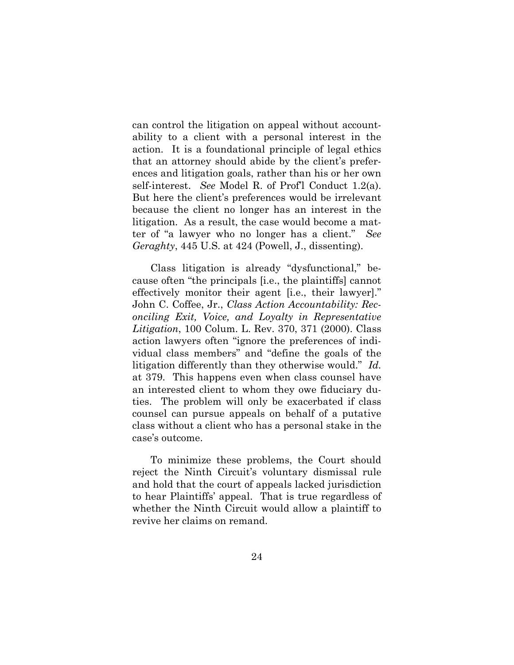can control the litigation on appeal without accountability to a client with a personal interest in the action. It is a foundational principle of legal ethics that an attorney should abide by the client's preferences and litigation goals, rather than his or her own self-interest. *See* Model R. of Prof'l Conduct 1.2(a). But here the client's preferences would be irrelevant because the client no longer has an interest in the litigation. As a result, the case would become a matter of "a lawyer who no longer has a client." *See Geraghty*, 445 U.S. at 424 (Powell, J., dissenting).

Class litigation is already "dysfunctional," because often "the principals [i.e., the plaintiffs] cannot effectively monitor their agent [i.e., their lawyer]." John C. Coffee, Jr., *Class Action Accountability: Reconciling Exit, Voice, and Loyalty in Representative Litigation*, 100 Colum. L. Rev. 370, 371 (2000). Class action lawyers often "ignore the preferences of individual class members" and "define the goals of the litigation differently than they otherwise would." *Id.* at 379. This happens even when class counsel have an interested client to whom they owe fiduciary duties. The problem will only be exacerbated if class counsel can pursue appeals on behalf of a putative class without a client who has a personal stake in the case's outcome.

To minimize these problems, the Court should reject the Ninth Circuit's voluntary dismissal rule and hold that the court of appeals lacked jurisdiction to hear Plaintiffs' appeal. That is true regardless of whether the Ninth Circuit would allow a plaintiff to revive her claims on remand.